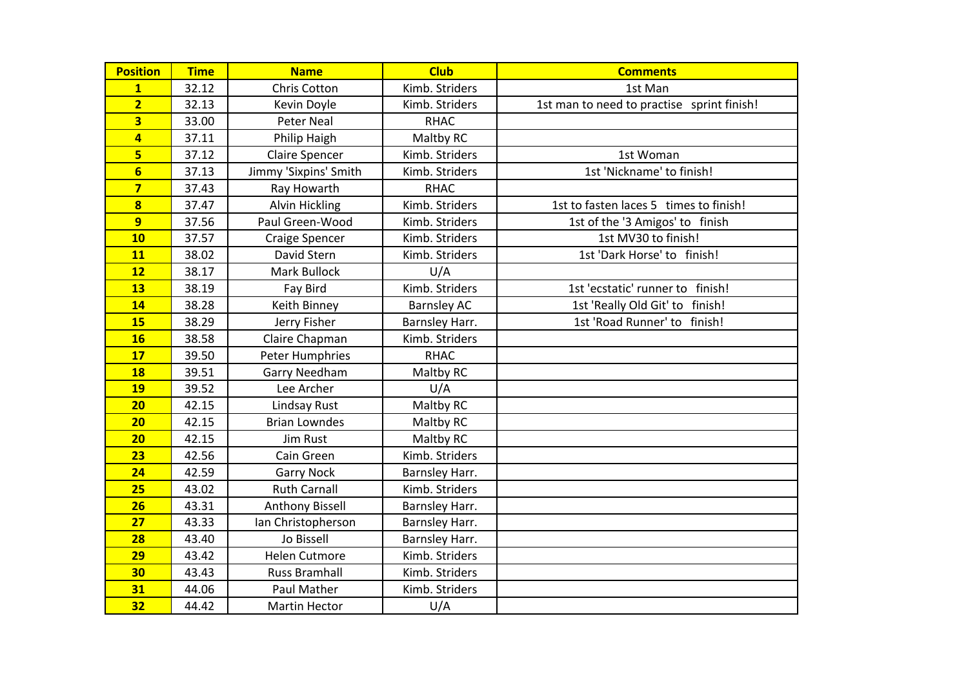| <b>Position</b>         | <b>Time</b> | <b>Name</b>            | <b>Club</b>        | <b>Comments</b>                            |
|-------------------------|-------------|------------------------|--------------------|--------------------------------------------|
| $\mathbf{1}$            | 32.12       | Chris Cotton           | Kimb. Striders     | 1st Man                                    |
| $\overline{2}$          | 32.13       | Kevin Doyle            | Kimb. Striders     | 1st man to need to practise sprint finish! |
| $\overline{\mathbf{3}}$ | 33.00       | <b>Peter Neal</b>      | <b>RHAC</b>        |                                            |
| $\overline{\mathbf{4}}$ | 37.11       | Philip Haigh           | Maltby RC          |                                            |
| 5                       | 37.12       | <b>Claire Spencer</b>  | Kimb. Striders     | 1st Woman                                  |
| $6\overline{6}$         | 37.13       | Jimmy 'Sixpins' Smith  | Kimb. Striders     | 1st 'Nickname' to finish!                  |
| $\overline{\mathbf{z}}$ | 37.43       | Ray Howarth            | <b>RHAC</b>        |                                            |
| $\overline{\mathbf{8}}$ | 37.47       | Alvin Hickling         | Kimb. Striders     | 1st to fasten laces 5 times to finish!     |
| 9                       | 37.56       | Paul Green-Wood        | Kimb. Striders     | 1st of the '3 Amigos' to finish            |
| 10                      | 37.57       | <b>Craige Spencer</b>  | Kimb. Striders     | 1st MV30 to finish!                        |
| 11                      | 38.02       | David Stern            | Kimb. Striders     | 1st 'Dark Horse' to finish!                |
| 12                      | 38.17       | Mark Bullock           | U/A                |                                            |
| 13                      | 38.19       | Fay Bird               | Kimb. Striders     | 1st 'ecstatic' runner to finish!           |
| 14                      | 38.28       | Keith Binney           | <b>Barnsley AC</b> | 1st 'Really Old Git' to finish!            |
| 15                      | 38.29       | Jerry Fisher           | Barnsley Harr.     | 1st 'Road Runner' to finish!               |
| <b>16</b>               | 38.58       | Claire Chapman         | Kimb. Striders     |                                            |
| 17                      | 39.50       | Peter Humphries        | <b>RHAC</b>        |                                            |
| <b>18</b>               | 39.51       | <b>Garry Needham</b>   | Maltby RC          |                                            |
| 19                      | 39.52       | Lee Archer             | U/A                |                                            |
| 20                      | 42.15       | Lindsay Rust           | Maltby RC          |                                            |
| 20                      | 42.15       | <b>Brian Lowndes</b>   | Maltby RC          |                                            |
| 20                      | 42.15       | <b>Jim Rust</b>        | Maltby RC          |                                            |
| 23                      | 42.56       | Cain Green             | Kimb. Striders     |                                            |
| 24                      | 42.59       | <b>Garry Nock</b>      | Barnsley Harr.     |                                            |
| 25                      | 43.02       | <b>Ruth Carnall</b>    | Kimb. Striders     |                                            |
| 26                      | 43.31       | <b>Anthony Bissell</b> | Barnsley Harr.     |                                            |
| 27                      | 43.33       | Ian Christopherson     | Barnsley Harr.     |                                            |
| 28                      | 43.40       | Jo Bissell             | Barnsley Harr.     |                                            |
| 29                      | 43.42       | <b>Helen Cutmore</b>   | Kimb. Striders     |                                            |
| 30                      | 43.43       | <b>Russ Bramhall</b>   | Kimb. Striders     |                                            |
| 31                      | 44.06       | Paul Mather            | Kimb. Striders     |                                            |
| 32                      | 44.42       | <b>Martin Hector</b>   | U/A                |                                            |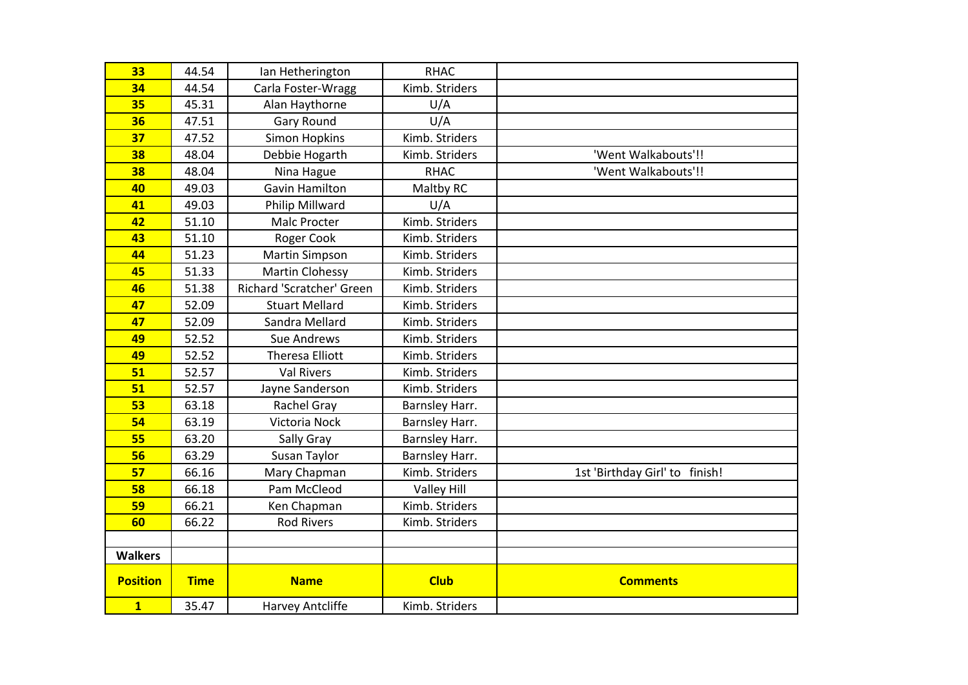| 33                      | 44.54       | Ian Hetherington          | <b>RHAC</b>        |                                |
|-------------------------|-------------|---------------------------|--------------------|--------------------------------|
| 34                      | 44.54       | Carla Foster-Wragg        | Kimb. Striders     |                                |
| 35                      | 45.31       | Alan Haythorne            | U/A                |                                |
| 36                      | 47.51       | <b>Gary Round</b>         | U/A                |                                |
| 37                      | 47.52       | <b>Simon Hopkins</b>      | Kimb. Striders     |                                |
| 38                      | 48.04       | Debbie Hogarth            | Kimb. Striders     | 'Went Walkabouts'!!            |
| 38                      | 48.04       | Nina Hague                | <b>RHAC</b>        | 'Went Walkabouts'!!            |
| 40                      | 49.03       | <b>Gavin Hamilton</b>     | Maltby RC          |                                |
| 41                      | 49.03       | Philip Millward           | U/A                |                                |
| 42                      | 51.10       | <b>Malc Procter</b>       | Kimb. Striders     |                                |
| 43                      | 51.10       | Roger Cook                | Kimb. Striders     |                                |
| 44                      | 51.23       | <b>Martin Simpson</b>     | Kimb. Striders     |                                |
| 45                      | 51.33       | <b>Martin Clohessy</b>    | Kimb. Striders     |                                |
| 46                      | 51.38       | Richard 'Scratcher' Green | Kimb. Striders     |                                |
| 47                      | 52.09       | <b>Stuart Mellard</b>     | Kimb. Striders     |                                |
| 47                      | 52.09       | Sandra Mellard            | Kimb. Striders     |                                |
| 49                      | 52.52       | <b>Sue Andrews</b>        | Kimb. Striders     |                                |
| 49                      | 52.52       | <b>Theresa Elliott</b>    | Kimb. Striders     |                                |
| 51                      | 52.57       | <b>Val Rivers</b>         | Kimb. Striders     |                                |
| 51                      | 52.57       | Jayne Sanderson           | Kimb. Striders     |                                |
| 53                      | 63.18       | Rachel Gray               | Barnsley Harr.     |                                |
| 54                      | 63.19       | Victoria Nock             | Barnsley Harr.     |                                |
| 55                      | 63.20       | Sally Gray                | Barnsley Harr.     |                                |
| 56                      | 63.29       | Susan Taylor              | Barnsley Harr.     |                                |
| 57                      | 66.16       | Mary Chapman              | Kimb. Striders     | 1st 'Birthday Girl' to finish! |
| 58                      | 66.18       | Pam McCleod               | <b>Valley Hill</b> |                                |
| 59                      | 66.21       | Ken Chapman               | Kimb. Striders     |                                |
| 60                      | 66.22       | <b>Rod Rivers</b>         | Kimb. Striders     |                                |
|                         |             |                           |                    |                                |
| <b>Walkers</b>          |             |                           |                    |                                |
| <b>Position</b>         | <b>Time</b> | <b>Name</b>               | <b>Club</b>        | <b>Comments</b>                |
| $\overline{\mathbf{1}}$ | 35.47       | Harvey Antcliffe          | Kimb. Striders     |                                |